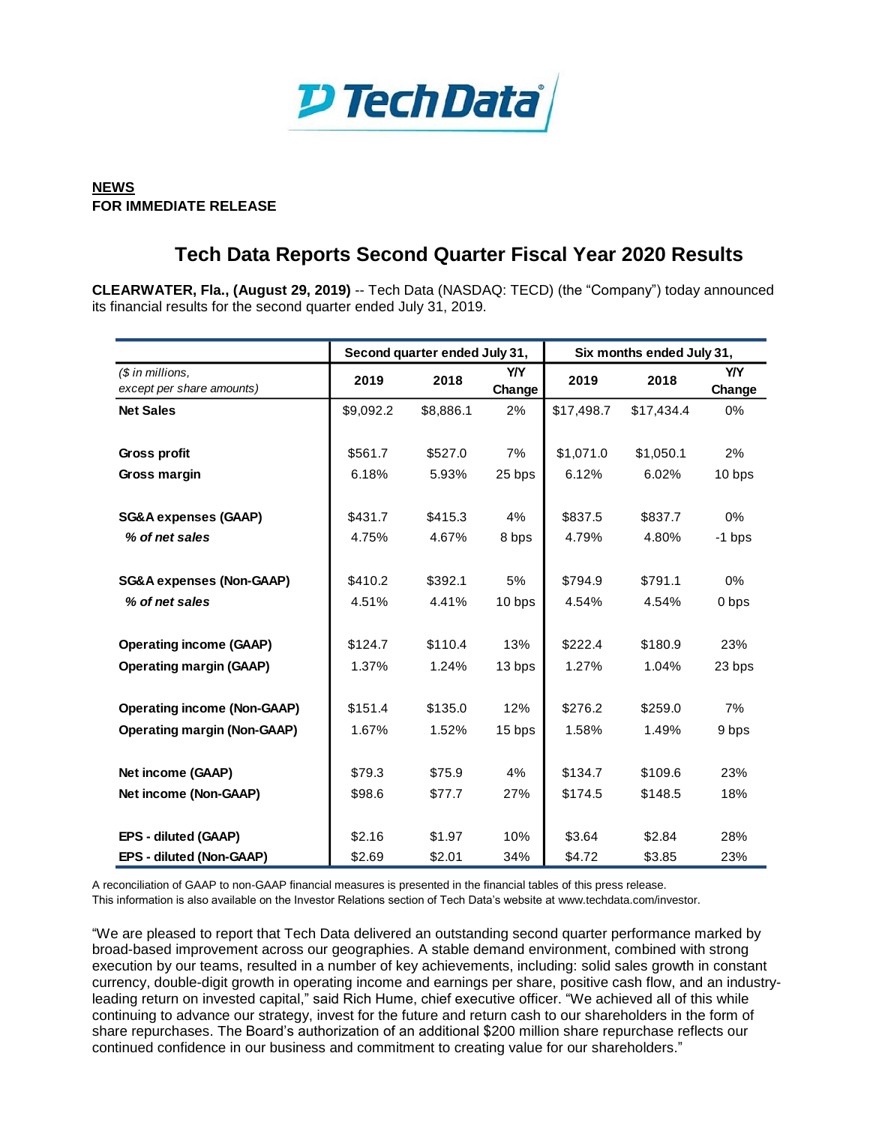

## **NEWS FOR IMMEDIATE RELEASE**

# **Tech Data Reports Second Quarter Fiscal Year 2020 Results**

**CLEARWATER, Fla., (August 29, 2019)** -- Tech Data (NASDAQ: TECD) (the "Company") today announced its financial results for the second quarter ended July 31, 2019.

|                                               |           | Second quarter ended July 31, |               | Six months ended July 31, |            |               |  |
|-----------------------------------------------|-----------|-------------------------------|---------------|---------------------------|------------|---------------|--|
| $$$ in millions,<br>except per share amounts) | 2019      | 2018                          | Y/Y<br>Change | 2019                      | 2018       | Y/Y<br>Change |  |
| <b>Net Sales</b>                              | \$9,092.2 | \$8,886.1                     | 2%            | \$17,498.7                | \$17,434.4 | 0%            |  |
| <b>Gross profit</b>                           | \$561.7   | \$527.0                       | 7%            | \$1,071.0                 | \$1,050.1  | 2%            |  |
| Gross margin                                  | 6.18%     | 5.93%                         | 25 bps        | 6.12%                     | 6.02%      | 10 bps        |  |
| <b>SG&amp;A expenses (GAAP)</b>               | \$431.7   | \$415.3                       | 4%            | \$837.5                   | \$837.7    | $0\%$         |  |
| % of net sales                                | 4.75%     | 4.67%                         | 8 bps         | 4.79%                     | 4.80%      | -1 bps        |  |
| <b>SG&amp;A expenses (Non-GAAP)</b>           | \$410.2   | \$392.1                       | 5%            | \$794.9                   | \$791.1    | $0\%$         |  |
| % of net sales                                | 4.51%     | 4.41%                         | 10 bps        | 4.54%                     | 4.54%      | 0 bps         |  |
| <b>Operating income (GAAP)</b>                | \$124.7   | \$110.4                       | 13%           | \$222.4                   | \$180.9    | 23%           |  |
| <b>Operating margin (GAAP)</b>                | 1.37%     | 1.24%                         | 13 bps        | 1.27%                     | 1.04%      | 23 bps        |  |
| <b>Operating income (Non-GAAP)</b>            | \$151.4   | \$135.0                       | 12%           | \$276.2                   | \$259.0    | 7%            |  |
| <b>Operating margin (Non-GAAP)</b>            | 1.67%     | 1.52%                         | 15 bps        | 1.58%                     | 1.49%      | 9 bps         |  |
| Net income (GAAP)                             | \$79.3    | \$75.9                        | 4%            | \$134.7                   | \$109.6    | 23%           |  |
| Net income (Non-GAAP)                         | \$98.6    | \$77.7                        | 27%           | \$174.5                   | \$148.5    | 18%           |  |
| EPS - diluted (GAAP)                          | \$2.16    | \$1.97                        | 10%           | \$3.64                    | \$2.84     | 28%           |  |
| EPS - diluted (Non-GAAP)                      | \$2.69    | \$2.01                        | 34%           | \$4.72                    | \$3.85     | 23%           |  |

A reconciliation of GAAP to non-GAAP financial measures is presented in the financial tables of this press release. This information is also available on the Investor Relations section of Tech Data's website at [www.techdata.com/i](http://www.techdata.com/)nvestor.

"We are pleased to report that Tech Data delivered an outstanding second quarter performance marked by broad-based improvement across our geographies. A stable demand environment, combined with strong execution by our teams, resulted in a number of key achievements, including: solid sales growth in constant currency, double-digit growth in operating income and earnings per share, positive cash flow, and an industryleading return on invested capital," said Rich Hume, chief executive officer. "We achieved all of this while continuing to advance our strategy, invest for the future and return cash to our shareholders in the form of share repurchases. The Board's authorization of an additional \$200 million share repurchase reflects our continued confidence in our business and commitment to creating value for our shareholders."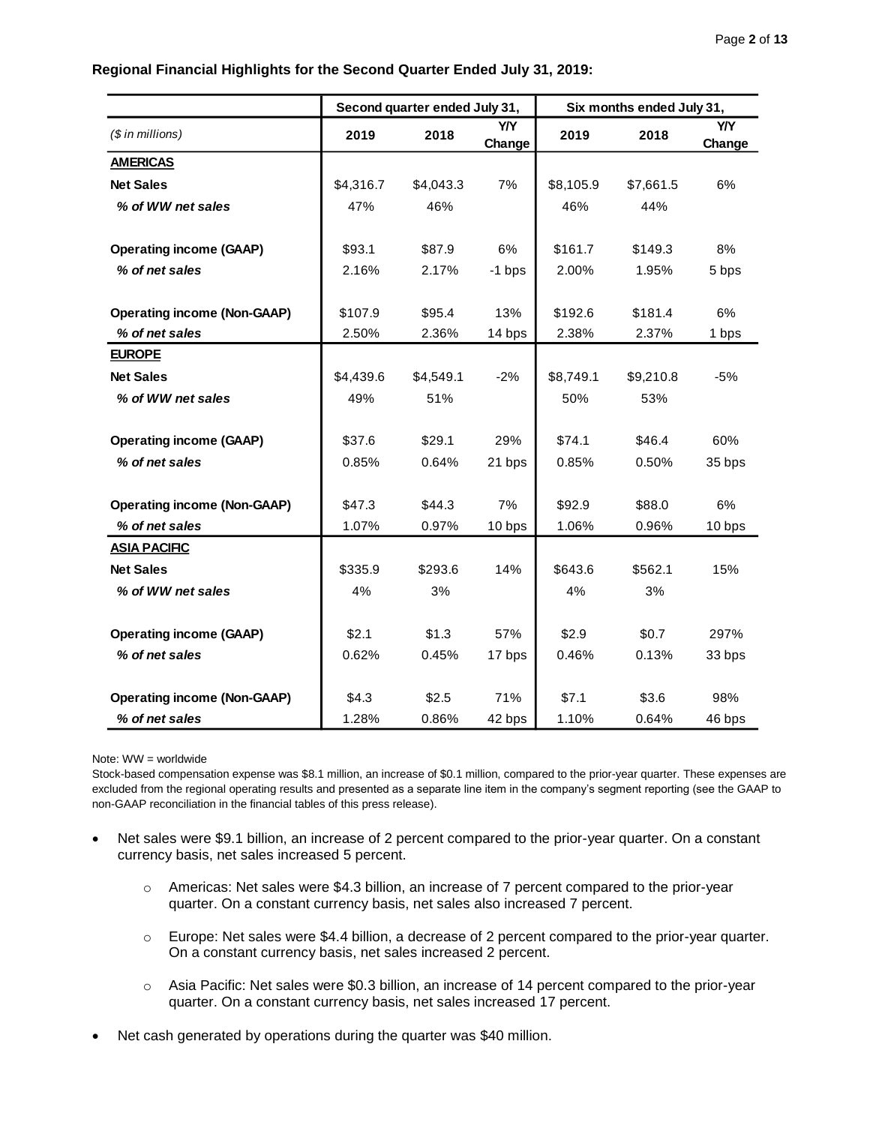|                                    |           | Second quarter ended July 31, |               |           | Six months ended July 31, |                      |
|------------------------------------|-----------|-------------------------------|---------------|-----------|---------------------------|----------------------|
| $($in$ millions)                   | 2019      | 2018                          | Y/Y<br>Change | 2019      | 2018                      | <b>Y/Y</b><br>Change |
| <b>AMERICAS</b>                    |           |                               |               |           |                           |                      |
| <b>Net Sales</b>                   | \$4,316.7 | \$4,043.3                     | 7%            | \$8,105.9 | \$7,661.5                 | 6%                   |
| % of WW net sales                  | 47%       | 46%                           |               | 46%       | 44%                       |                      |
|                                    |           |                               |               |           |                           |                      |
| <b>Operating income (GAAP)</b>     | \$93.1    | \$87.9                        | 6%            | \$161.7   | \$149.3                   | 8%                   |
| % of net sales                     | 2.16%     | 2.17%                         | $-1$ bps      | 2.00%     | 1.95%                     | 5 bps                |
| <b>Operating income (Non-GAAP)</b> | \$107.9   | \$95.4                        | 13%           | \$192.6   | \$181.4                   | 6%                   |
| % of net sales                     | 2.50%     | 2.36%                         | 14 bps        | 2.38%     | 2.37%                     | 1 bps                |
| <b>EUROPE</b>                      |           |                               |               |           |                           |                      |
| <b>Net Sales</b>                   | \$4,439.6 | \$4,549.1                     | $-2%$         | \$8,749.1 | \$9,210.8                 | $-5%$                |
| % of WW net sales                  | 49%       | 51%                           |               | 50%       | 53%                       |                      |
|                                    |           |                               |               |           |                           |                      |
| <b>Operating income (GAAP)</b>     | \$37.6    | \$29.1                        | 29%           | \$74.1    | \$46.4                    | 60%                  |
| % of net sales                     | 0.85%     | 0.64%                         | 21 bps        | 0.85%     | 0.50%                     | 35 bps               |
|                                    |           |                               |               |           |                           |                      |
| <b>Operating income (Non-GAAP)</b> | \$47.3    | \$44.3                        | 7%            | \$92.9    | \$88.0                    | 6%                   |
| % of net sales                     | 1.07%     | 0.97%                         | 10 bps        | 1.06%     | 0.96%                     | 10 bps               |
| <b>ASIA PACIFIC</b>                |           |                               |               |           |                           |                      |
| <b>Net Sales</b>                   | \$335.9   | \$293.6                       | 14%           | \$643.6   | \$562.1                   | 15%                  |
| % of WW net sales                  | 4%        | 3%                            |               | 4%        | 3%                        |                      |
|                                    |           |                               |               |           |                           |                      |
| <b>Operating income (GAAP)</b>     | \$2.1     | \$1.3                         | 57%           | \$2.9     | \$0.7                     | 297%                 |
| % of net sales                     | 0.62%     | 0.45%                         | 17 bps        | 0.46%     | 0.13%                     | 33 bps               |
|                                    |           |                               |               |           |                           |                      |
| <b>Operating income (Non-GAAP)</b> | \$4.3     | \$2.5                         | 71%           | \$7.1     | \$3.6                     | 98%                  |
| % of net sales                     | 1.28%     | 0.86%                         | 42 bps        | 1.10%     | 0.64%                     | 46 bps               |

#### **Regional Financial Highlights for the Second Quarter Ended July 31, 2019:**

#### Note: WW = worldwide

Stock-based compensation expense was \$8.1 million, an increase of \$0.1 million, compared to the prior-year quarter. These expenses are excluded from the regional operating results and presented as a separate line item in the company's segment reporting (see the GAAP to non-GAAP reconciliation in the financial tables of this press release).

- Net sales were \$9.1 billion, an increase of 2 percent compared to the prior-year quarter. On a constant currency basis, net sales increased 5 percent.
	- o Americas: Net sales were \$4.3 billion, an increase of 7 percent compared to the prior-year quarter. On a constant currency basis, net sales also increased 7 percent.
	- o Europe: Net sales were \$4.4 billion, a decrease of 2 percent compared to the prior-year quarter. On a constant currency basis, net sales increased 2 percent.
	- o Asia Pacific: Net sales were \$0.3 billion, an increase of 14 percent compared to the prior-year quarter. On a constant currency basis, net sales increased 17 percent.
- Net cash generated by operations during the quarter was \$40 million.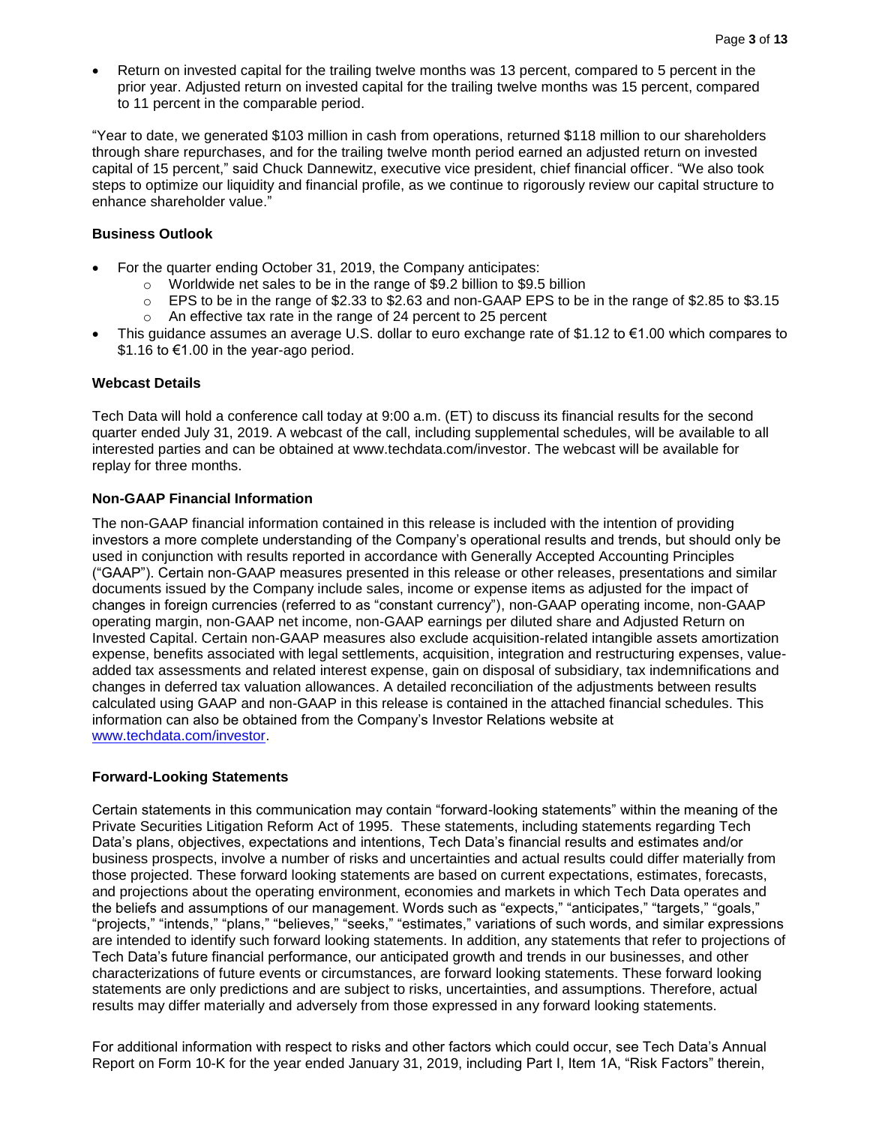• Return on invested capital for the trailing twelve months was 13 percent, compared to 5 percent in the prior year. Adjusted return on invested capital for the trailing twelve months was 15 percent, compared to 11 percent in the comparable period.

"Year to date, we generated \$103 million in cash from operations, returned \$118 million to our shareholders through share repurchases, and for the trailing twelve month period earned an adjusted return on invested capital of 15 percent," said Chuck Dannewitz, executive vice president, chief financial officer. "We also took steps to optimize our liquidity and financial profile, as we continue to rigorously review our capital structure to enhance shareholder value."

## **Business Outlook**

- For the quarter ending October 31, 2019, the Company anticipates:
	- o Worldwide net sales to be in the range of \$9.2 billion to \$9.5 billion
	- o EPS to be in the range of \$2.33 to \$2.63 and non-GAAP EPS to be in the range of \$2.85 to \$3.15
	- o An effective tax rate in the range of 24 percent to 25 percent
- This guidance assumes an average U.S. dollar to euro exchange rate of \$1.12 to €1.00 which compares to \$1.16 to €1.00 in the year-ago period.

#### **Webcast Details**

Tech Data will hold a conference call today at 9:00 a.m. (ET) to discuss its financial results for the second quarter ended July 31, 2019. A webcast of the call, including supplemental schedules, will be available to all interested parties and can be obtained at [www.techdata.com/investor.](http://www.techdata.com/investor) The webcast will be available for replay for three months.

#### **Non-GAAP Financial Information**

The non-GAAP financial information contained in this release is included with the intention of providing investors a more complete understanding of the Company's operational results and trends, but should only be used in conjunction with results reported in accordance with Generally Accepted Accounting Principles ("GAAP"). Certain non-GAAP measures presented in this release or other releases, presentations and similar documents issued by the Company include sales, income or expense items as adjusted for the impact of changes in foreign currencies (referred to as "constant currency"), non-GAAP operating income, non-GAAP operating margin, non-GAAP net income, non-GAAP earnings per diluted share and Adjusted Return on Invested Capital. Certain non-GAAP measures also exclude acquisition-related intangible assets amortization expense, benefits associated with legal settlements, acquisition, integration and restructuring expenses, valueadded tax assessments and related interest expense, gain on disposal of subsidiary, tax indemnifications and changes in deferred tax valuation allowances. A detailed reconciliation of the adjustments between results calculated using GAAP and non-GAAP in this release is contained in the attached financial schedules. This information can also be obtained from the Company's Investor Relations website at [www.techdata.com/investor.](http://www.techdata.com/investor)

## **Forward-Looking Statements**

Certain statements in this communication may contain "forward-looking statements" within the meaning of the Private Securities Litigation Reform Act of 1995. These statements, including statements regarding Tech Data's plans, objectives, expectations and intentions, Tech Data's financial results and estimates and/or business prospects, involve a number of risks and uncertainties and actual results could differ materially from those projected. These forward looking statements are based on current expectations, estimates, forecasts, and projections about the operating environment, economies and markets in which Tech Data operates and the beliefs and assumptions of our management. Words such as "expects," "anticipates," "targets," "goals," "projects," "intends," "plans," "believes," "seeks," "estimates," variations of such words, and similar expressions are intended to identify such forward looking statements. In addition, any statements that refer to projections of Tech Data's future financial performance, our anticipated growth and trends in our businesses, and other characterizations of future events or circumstances, are forward looking statements. These forward looking statements are only predictions and are subject to risks, uncertainties, and assumptions. Therefore, actual results may differ materially and adversely from those expressed in any forward looking statements.

For additional information with respect to risks and other factors which could occur, see Tech Data's Annual Report on Form 10-K for the year ended January 31, 2019, including Part I, Item 1A, "Risk Factors" therein,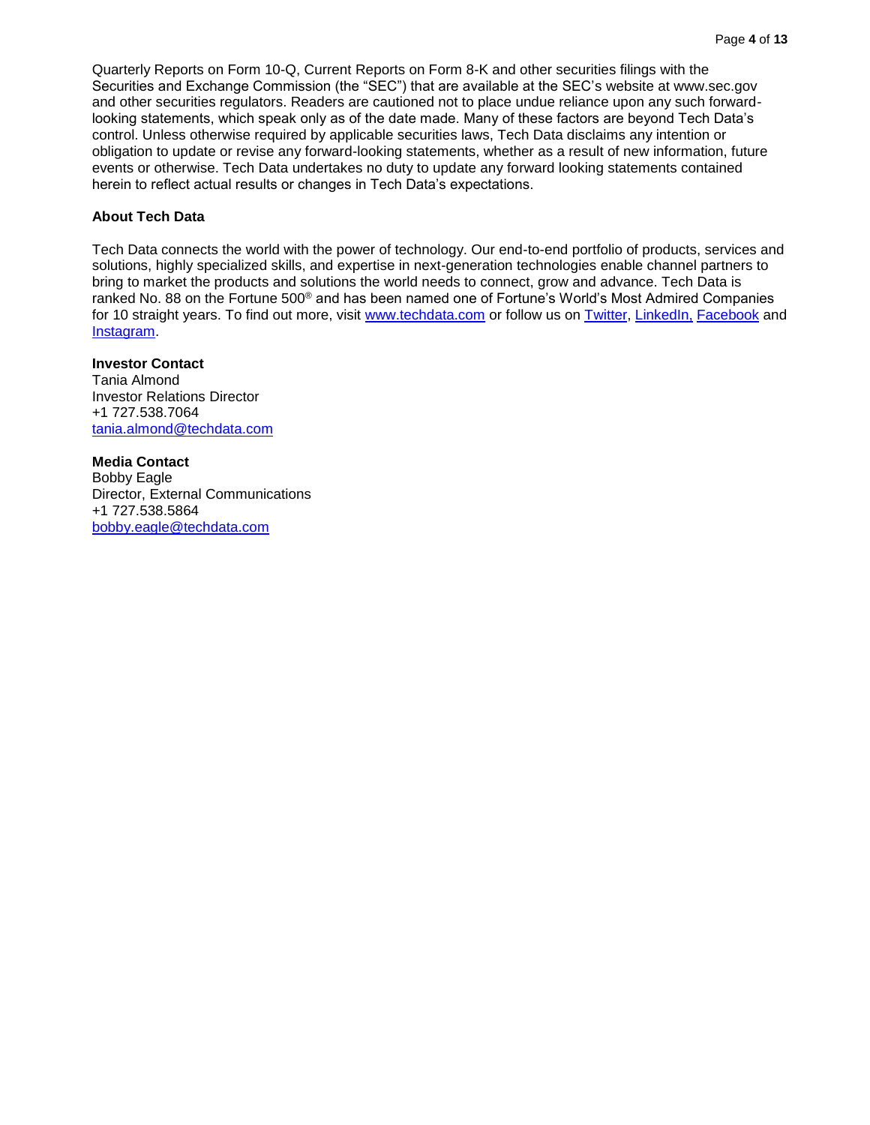Quarterly Reports on Form 10-Q, Current Reports on Form 8-K and other securities filings with the Securities and Exchange Commission (the "SEC") that are available at the SEC's website at www.sec.gov and other securities regulators. Readers are cautioned not to place undue reliance upon any such forwardlooking statements, which speak only as of the date made. Many of these factors are beyond Tech Data's control. Unless otherwise required by applicable securities laws, Tech Data disclaims any intention or obligation to update or revise any forward-looking statements, whether as a result of new information, future events or otherwise. Tech Data undertakes no duty to update any forward looking statements contained herein to reflect actual results or changes in Tech Data's expectations.

#### **About Tech Data**

Tech Data connects the world with the power of technology. Our end-to-end portfolio of products, services and solutions, highly specialized skills, and expertise in next-generation technologies enable channel partners to bring to market the products and solutions the world needs to connect, grow and advance. Tech Data is ranked No. 88 on the Fortune 500<sup>®</sup> and has been named one of Fortune's World's Most Admired Companies for 10 straight years. To find out more, visit [www.techdata.com](http://www.techdata.com/) or follow us on [Twitter,](https://twitter.com/Tech_Data) [LinkedIn,](https://www.linkedin.com/company/tech-data/) [Facebook](https://www.facebook.com/TechDataCorporation/) and [Instagram.](https://www.instagram.com/techdatacorporation/)

#### **Investor Contact**

Tania Almond Investor Relations Director +1 727.538.7064 [tania.almond@techdata.com](mailto:tania.almond@techdata.com)

**Media Contact** Bobby Eagle Director, External Communications +1 727.538.5864 [bobby.eagle@techdata.com](mailto:bobby.eagle@techdata.com)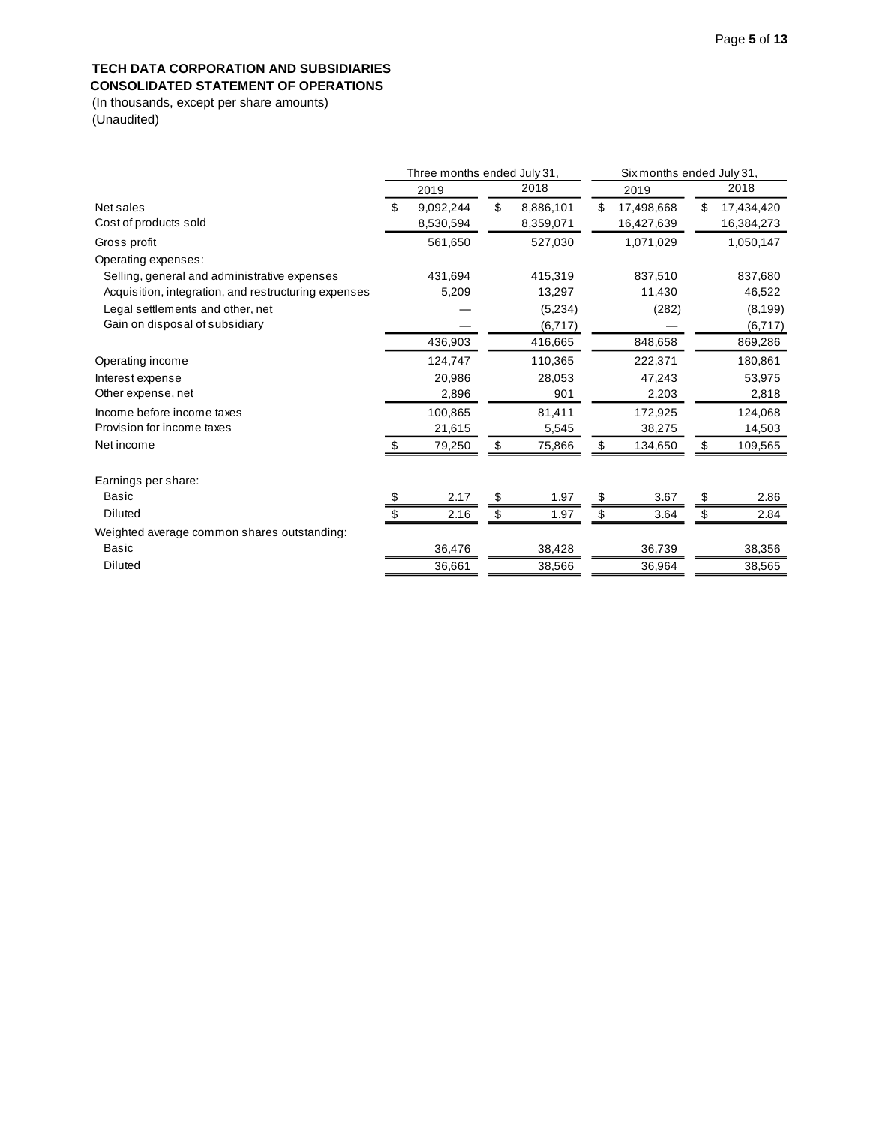## **TECH DATA CORPORATION AND SUBSIDIARIES CONSOLIDATED STATEMENT OF OPERATIONS**

(In thousands, except per share amounts) (Unaudited)

|                                                      | Three months ended July 31, |           |    |           |    | Six months ended July 31, |    |            |  |  |
|------------------------------------------------------|-----------------------------|-----------|----|-----------|----|---------------------------|----|------------|--|--|
|                                                      |                             | 2019      |    | 2018      |    | 2019                      |    | 2018       |  |  |
| Net sales                                            | \$                          | 9,092,244 | \$ | 8,886,101 | \$ | 17,498,668                | \$ | 17,434,420 |  |  |
| Cost of products sold                                |                             | 8,530,594 |    | 8,359,071 |    | 16,427,639                |    | 16,384,273 |  |  |
| Gross profit                                         |                             | 561,650   |    | 527,030   |    | 1,071,029                 |    | 1,050,147  |  |  |
| Operating expenses:                                  |                             |           |    |           |    |                           |    |            |  |  |
| Selling, general and administrative expenses         |                             | 431,694   |    | 415,319   |    | 837,510                   |    | 837,680    |  |  |
| Acquisition, integration, and restructuring expenses |                             | 5,209     |    | 13,297    |    | 11,430                    |    | 46,522     |  |  |
| Legal settlements and other, net                     |                             |           |    | (5,234)   |    | (282)                     |    | (8, 199)   |  |  |
| Gain on disposal of subsidiary                       |                             |           |    | (6,717)   |    |                           |    | (6,717)    |  |  |
|                                                      |                             | 436,903   |    | 416,665   |    | 848,658                   |    | 869,286    |  |  |
| Operating income                                     |                             | 124,747   |    | 110,365   |    | 222,371                   |    | 180,861    |  |  |
| Interest expense                                     |                             | 20,986    |    | 28,053    |    | 47,243                    |    | 53,975     |  |  |
| Other expense, net                                   |                             | 2,896     |    | 901       |    | 2,203                     |    | 2,818      |  |  |
| Income before income taxes                           |                             | 100,865   |    | 81,411    |    | 172,925                   |    | 124,068    |  |  |
| Provision for income taxes                           |                             | 21,615    |    | 5,545     |    | 38,275                    |    | 14,503     |  |  |
| Net income                                           | S                           | 79,250    | \$ | 75,866    | S  | 134,650                   | \$ | 109,565    |  |  |
| Earnings per share:                                  |                             |           |    |           |    |                           |    |            |  |  |
| Basic                                                | \$                          | 2.17      | \$ | 1.97      | \$ | 3.67                      | \$ | 2.86       |  |  |
| <b>Diluted</b>                                       | \$                          | 2.16      | \$ | 1.97      | \$ | 3.64                      | \$ | 2.84       |  |  |
| Weighted average common shares outstanding:          |                             |           |    |           |    |                           |    |            |  |  |
| Basic                                                |                             | 36,476    |    | 38,428    |    | 36,739                    |    | 38,356     |  |  |
| <b>Diluted</b>                                       |                             | 36,661    |    | 38,566    |    | 36,964                    |    | 38,565     |  |  |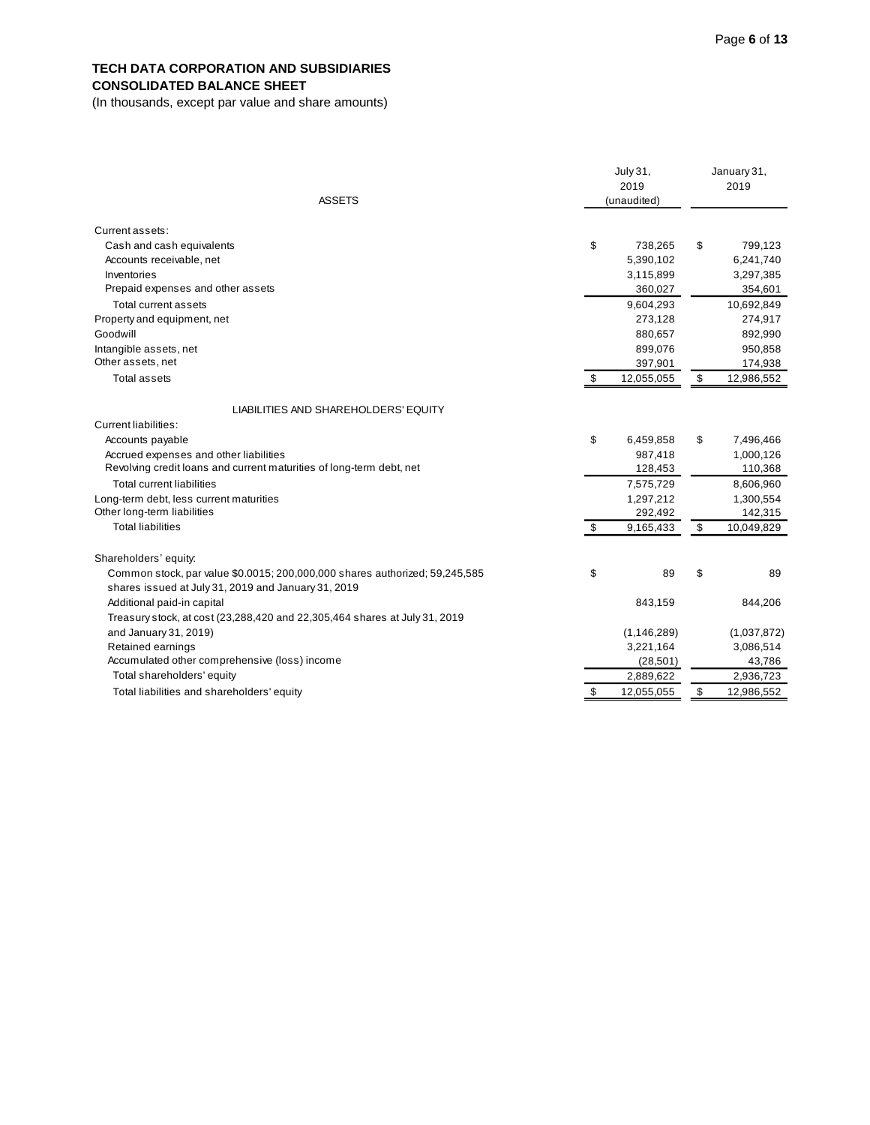#### **TECH DATA CORPORATION AND SUBSIDIARIES CONSOLIDATED BALANCE SHEET**

(In thousands, except par value and share amounts)

| <b>ASSETS</b>                                                               | July 31,<br>2019<br>(unaudited) | January 31,<br>2019 |
|-----------------------------------------------------------------------------|---------------------------------|---------------------|
| Current assets:                                                             |                                 |                     |
| Cash and cash equivalents                                                   | \$<br>738,265                   | \$<br>799.123       |
| Accounts receivable, net                                                    | 5,390,102                       | 6,241,740           |
| Inventories                                                                 | 3,115,899                       | 3,297,385           |
| Prepaid expenses and other assets                                           | 360,027                         | 354,601             |
| Total current assets                                                        | 9,604,293                       | 10,692,849          |
| Property and equipment, net                                                 | 273,128                         | 274,917             |
| Goodwill                                                                    | 880,657                         | 892,990             |
| Intangible assets, net                                                      | 899,076                         | 950,858             |
| Other assets, net                                                           | 397,901                         | 174,938             |
| <b>Total assets</b>                                                         | \$<br>12,055,055                | \$<br>12,986,552    |
| LIABILITIES AND SHAREHOLDERS' EQUITY                                        |                                 |                     |
| Current liabilities:                                                        |                                 |                     |
| Accounts payable                                                            | \$<br>6,459,858                 | \$<br>7,496,466     |
| Accrued expenses and other liabilities                                      | 987,418                         | 1,000,126           |
| Revolving credit loans and current maturities of long-term debt, net        | 128,453                         | 110,368             |
| <b>Total current liabilities</b>                                            | 7,575,729                       | 8,606,960           |
| Long-term debt, less current maturities                                     | 1,297,212                       | 1,300,554           |
| Other long-term liabilities                                                 | 292,492                         | 142,315             |
| <b>Total liabilities</b>                                                    | \$<br>9,165,433                 | \$<br>10,049,829    |
| Shareholders' equity:                                                       |                                 |                     |
| Common stock, par value \$0.0015; 200,000,000 shares authorized; 59,245,585 | \$<br>89                        | \$<br>89            |
| shares issued at July 31, 2019 and January 31, 2019                         |                                 |                     |
| Additional paid-in capital                                                  | 843,159                         | 844,206             |
| Treasury stock, at cost (23,288,420 and 22,305,464 shares at July 31, 2019  |                                 |                     |
| and January 31, 2019)                                                       | (1, 146, 289)                   | (1,037,872)         |
| Retained earnings                                                           | 3,221,164                       | 3,086,514           |
| Accumulated other comprehensive (loss) income                               | (28, 501)                       | 43,786              |
| Total shareholders' equity                                                  | 2,889,622                       | 2,936,723           |
| Total liabilities and shareholders' equity                                  | \$<br>12,055,055                | \$<br>12,986,552    |
|                                                                             |                                 |                     |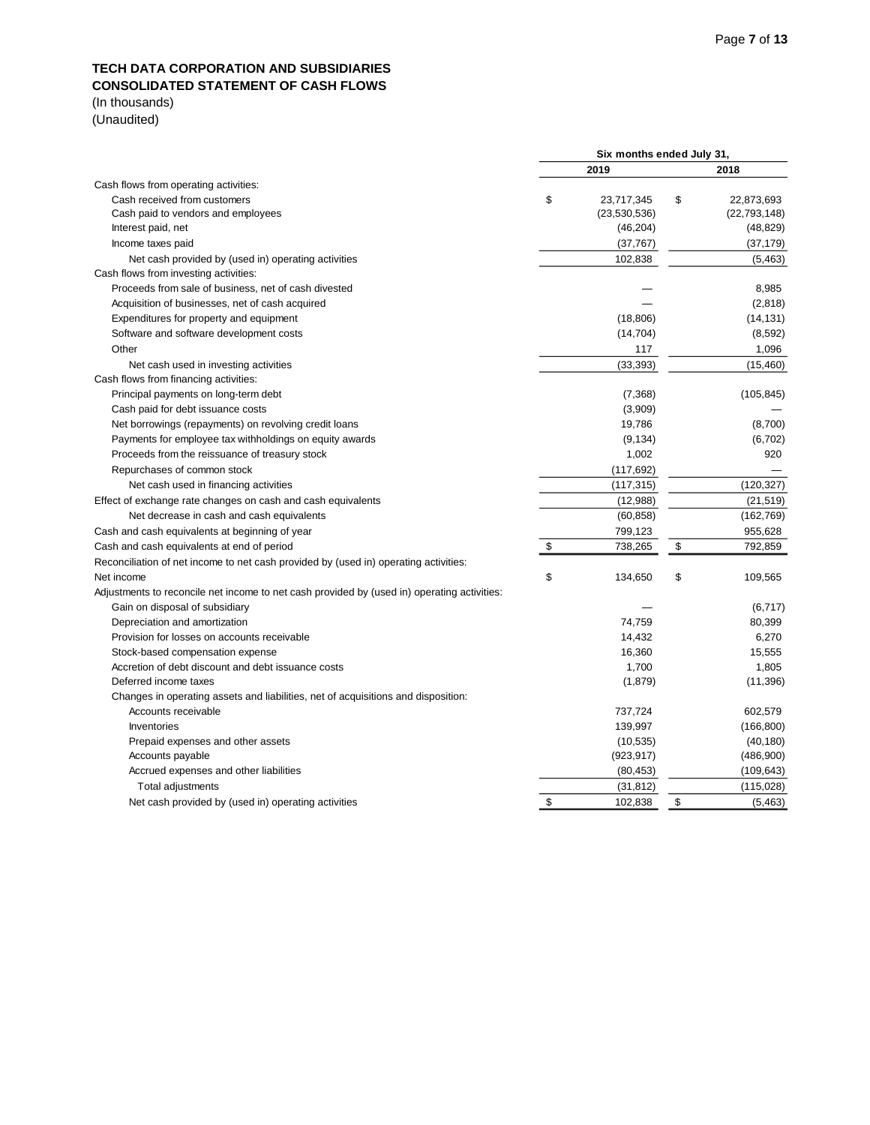#### Page **7** of **13**

#### **TECH DATA CORPORATION AND SUBSIDIARIES CONSOLIDATED STATEMENT OF CASH FLOWS**

(In thousands )

(Unaudited)

| 2019<br>2018<br>Cash flows from operating activities:<br>\$<br>Cash received from customers<br>23,717,345<br>\$<br>22,873,693<br>(23,530,536)<br>Cash paid to vendors and employees<br>(22, 793, 148)<br>(46, 204)<br>(48, 829)<br>Interest paid, net<br>(37, 767)<br>(37, 179)<br>Income taxes paid<br>102,838<br>(5, 463)<br>Net cash provided by (used in) operating activities<br>Cash flows from investing activities:<br>8,985<br>Proceeds from sale of business, net of cash divested<br>Acquisition of businesses, net of cash acquired<br>(2,818)<br>Expenditures for property and equipment<br>(18, 806)<br>(14, 131)<br>Software and software development costs<br>(14, 704)<br>(8, 592)<br>Other<br>117<br>1,096<br>(33, 393)<br>(15, 460)<br>Net cash used in investing activities<br>Cash flows from financing activities:<br>(105, 845)<br>Principal payments on long-term debt<br>(7,368)<br>(3,909)<br>Cash paid for debt issuance costs<br>Net borrowings (repayments) on revolving credit loans<br>19,786<br>(8,700)<br>Payments for employee tax withholdings on equity awards<br>(6, 702)<br>(9, 134)<br>1,002<br>920<br>Proceeds from the reissuance of treasury stock<br>Repurchases of common stock<br>(117, 692)<br>(120, 327)<br>Net cash used in financing activities<br>(117, 315)<br>(12,988)<br>(21, 519)<br>Effect of exchange rate changes on cash and cash equivalents<br>(162, 769)<br>Net decrease in cash and cash equivalents<br>(60, 858)<br>799,123<br>955,628<br>Cash and cash equivalents at beginning of year<br>\$<br>\$<br>792,859<br>Cash and cash equivalents at end of period<br>738,265<br>Reconciliation of net income to net cash provided by (used in) operating activities:<br>\$<br>\$<br>Net income<br>134,650<br>109,565<br>Adjustments to reconcile net income to net cash provided by (used in) operating activities:<br>Gain on disposal of subsidiary<br>(6,717)<br>74,759<br>80,399<br>Depreciation and amortization<br>6,270<br>Provision for losses on accounts receivable<br>14,432<br>16,360<br>15,555<br>Stock-based compensation expense<br>1,700<br>1,805<br>Accretion of debt discount and debt issuance costs<br>Deferred income taxes<br>(1,879)<br>(11, 396)<br>Changes in operating assets and liabilities, net of acquisitions and disposition:<br>Accounts receivable<br>737,724<br>602,579<br>139,997<br>(166, 800)<br>Inventories<br>Prepaid expenses and other assets<br>(10, 535)<br>(40, 180)<br>Accounts payable<br>(923, 917)<br>(486,900)<br>(80, 453)<br>(109, 643)<br>Accrued expenses and other liabilities<br>(31, 812)<br>(115, 028)<br>Total adjustments<br>\$<br>Net cash provided by (used in) operating activities<br>102,838<br>\$<br>(5, 463) |  | Six months ended July 31, |  |
|--------------------------------------------------------------------------------------------------------------------------------------------------------------------------------------------------------------------------------------------------------------------------------------------------------------------------------------------------------------------------------------------------------------------------------------------------------------------------------------------------------------------------------------------------------------------------------------------------------------------------------------------------------------------------------------------------------------------------------------------------------------------------------------------------------------------------------------------------------------------------------------------------------------------------------------------------------------------------------------------------------------------------------------------------------------------------------------------------------------------------------------------------------------------------------------------------------------------------------------------------------------------------------------------------------------------------------------------------------------------------------------------------------------------------------------------------------------------------------------------------------------------------------------------------------------------------------------------------------------------------------------------------------------------------------------------------------------------------------------------------------------------------------------------------------------------------------------------------------------------------------------------------------------------------------------------------------------------------------------------------------------------------------------------------------------------------------------------------------------------------------------------------------------------------------------------------------------------------------------------------------------------------------------------------------------------------------------------------------------------------------------------------------------------------------------------------------------------------------------------------------------------------------------------------------------------------------------------------------------------------------------------------------------------------------------------------------------------------------------------|--|---------------------------|--|
|                                                                                                                                                                                                                                                                                                                                                                                                                                                                                                                                                                                                                                                                                                                                                                                                                                                                                                                                                                                                                                                                                                                                                                                                                                                                                                                                                                                                                                                                                                                                                                                                                                                                                                                                                                                                                                                                                                                                                                                                                                                                                                                                                                                                                                                                                                                                                                                                                                                                                                                                                                                                                                                                                                                                            |  |                           |  |
|                                                                                                                                                                                                                                                                                                                                                                                                                                                                                                                                                                                                                                                                                                                                                                                                                                                                                                                                                                                                                                                                                                                                                                                                                                                                                                                                                                                                                                                                                                                                                                                                                                                                                                                                                                                                                                                                                                                                                                                                                                                                                                                                                                                                                                                                                                                                                                                                                                                                                                                                                                                                                                                                                                                                            |  |                           |  |
|                                                                                                                                                                                                                                                                                                                                                                                                                                                                                                                                                                                                                                                                                                                                                                                                                                                                                                                                                                                                                                                                                                                                                                                                                                                                                                                                                                                                                                                                                                                                                                                                                                                                                                                                                                                                                                                                                                                                                                                                                                                                                                                                                                                                                                                                                                                                                                                                                                                                                                                                                                                                                                                                                                                                            |  |                           |  |
|                                                                                                                                                                                                                                                                                                                                                                                                                                                                                                                                                                                                                                                                                                                                                                                                                                                                                                                                                                                                                                                                                                                                                                                                                                                                                                                                                                                                                                                                                                                                                                                                                                                                                                                                                                                                                                                                                                                                                                                                                                                                                                                                                                                                                                                                                                                                                                                                                                                                                                                                                                                                                                                                                                                                            |  |                           |  |
|                                                                                                                                                                                                                                                                                                                                                                                                                                                                                                                                                                                                                                                                                                                                                                                                                                                                                                                                                                                                                                                                                                                                                                                                                                                                                                                                                                                                                                                                                                                                                                                                                                                                                                                                                                                                                                                                                                                                                                                                                                                                                                                                                                                                                                                                                                                                                                                                                                                                                                                                                                                                                                                                                                                                            |  |                           |  |
|                                                                                                                                                                                                                                                                                                                                                                                                                                                                                                                                                                                                                                                                                                                                                                                                                                                                                                                                                                                                                                                                                                                                                                                                                                                                                                                                                                                                                                                                                                                                                                                                                                                                                                                                                                                                                                                                                                                                                                                                                                                                                                                                                                                                                                                                                                                                                                                                                                                                                                                                                                                                                                                                                                                                            |  |                           |  |
|                                                                                                                                                                                                                                                                                                                                                                                                                                                                                                                                                                                                                                                                                                                                                                                                                                                                                                                                                                                                                                                                                                                                                                                                                                                                                                                                                                                                                                                                                                                                                                                                                                                                                                                                                                                                                                                                                                                                                                                                                                                                                                                                                                                                                                                                                                                                                                                                                                                                                                                                                                                                                                                                                                                                            |  |                           |  |
|                                                                                                                                                                                                                                                                                                                                                                                                                                                                                                                                                                                                                                                                                                                                                                                                                                                                                                                                                                                                                                                                                                                                                                                                                                                                                                                                                                                                                                                                                                                                                                                                                                                                                                                                                                                                                                                                                                                                                                                                                                                                                                                                                                                                                                                                                                                                                                                                                                                                                                                                                                                                                                                                                                                                            |  |                           |  |
|                                                                                                                                                                                                                                                                                                                                                                                                                                                                                                                                                                                                                                                                                                                                                                                                                                                                                                                                                                                                                                                                                                                                                                                                                                                                                                                                                                                                                                                                                                                                                                                                                                                                                                                                                                                                                                                                                                                                                                                                                                                                                                                                                                                                                                                                                                                                                                                                                                                                                                                                                                                                                                                                                                                                            |  |                           |  |
|                                                                                                                                                                                                                                                                                                                                                                                                                                                                                                                                                                                                                                                                                                                                                                                                                                                                                                                                                                                                                                                                                                                                                                                                                                                                                                                                                                                                                                                                                                                                                                                                                                                                                                                                                                                                                                                                                                                                                                                                                                                                                                                                                                                                                                                                                                                                                                                                                                                                                                                                                                                                                                                                                                                                            |  |                           |  |
|                                                                                                                                                                                                                                                                                                                                                                                                                                                                                                                                                                                                                                                                                                                                                                                                                                                                                                                                                                                                                                                                                                                                                                                                                                                                                                                                                                                                                                                                                                                                                                                                                                                                                                                                                                                                                                                                                                                                                                                                                                                                                                                                                                                                                                                                                                                                                                                                                                                                                                                                                                                                                                                                                                                                            |  |                           |  |
|                                                                                                                                                                                                                                                                                                                                                                                                                                                                                                                                                                                                                                                                                                                                                                                                                                                                                                                                                                                                                                                                                                                                                                                                                                                                                                                                                                                                                                                                                                                                                                                                                                                                                                                                                                                                                                                                                                                                                                                                                                                                                                                                                                                                                                                                                                                                                                                                                                                                                                                                                                                                                                                                                                                                            |  |                           |  |
|                                                                                                                                                                                                                                                                                                                                                                                                                                                                                                                                                                                                                                                                                                                                                                                                                                                                                                                                                                                                                                                                                                                                                                                                                                                                                                                                                                                                                                                                                                                                                                                                                                                                                                                                                                                                                                                                                                                                                                                                                                                                                                                                                                                                                                                                                                                                                                                                                                                                                                                                                                                                                                                                                                                                            |  |                           |  |
|                                                                                                                                                                                                                                                                                                                                                                                                                                                                                                                                                                                                                                                                                                                                                                                                                                                                                                                                                                                                                                                                                                                                                                                                                                                                                                                                                                                                                                                                                                                                                                                                                                                                                                                                                                                                                                                                                                                                                                                                                                                                                                                                                                                                                                                                                                                                                                                                                                                                                                                                                                                                                                                                                                                                            |  |                           |  |
|                                                                                                                                                                                                                                                                                                                                                                                                                                                                                                                                                                                                                                                                                                                                                                                                                                                                                                                                                                                                                                                                                                                                                                                                                                                                                                                                                                                                                                                                                                                                                                                                                                                                                                                                                                                                                                                                                                                                                                                                                                                                                                                                                                                                                                                                                                                                                                                                                                                                                                                                                                                                                                                                                                                                            |  |                           |  |
|                                                                                                                                                                                                                                                                                                                                                                                                                                                                                                                                                                                                                                                                                                                                                                                                                                                                                                                                                                                                                                                                                                                                                                                                                                                                                                                                                                                                                                                                                                                                                                                                                                                                                                                                                                                                                                                                                                                                                                                                                                                                                                                                                                                                                                                                                                                                                                                                                                                                                                                                                                                                                                                                                                                                            |  |                           |  |
|                                                                                                                                                                                                                                                                                                                                                                                                                                                                                                                                                                                                                                                                                                                                                                                                                                                                                                                                                                                                                                                                                                                                                                                                                                                                                                                                                                                                                                                                                                                                                                                                                                                                                                                                                                                                                                                                                                                                                                                                                                                                                                                                                                                                                                                                                                                                                                                                                                                                                                                                                                                                                                                                                                                                            |  |                           |  |
|                                                                                                                                                                                                                                                                                                                                                                                                                                                                                                                                                                                                                                                                                                                                                                                                                                                                                                                                                                                                                                                                                                                                                                                                                                                                                                                                                                                                                                                                                                                                                                                                                                                                                                                                                                                                                                                                                                                                                                                                                                                                                                                                                                                                                                                                                                                                                                                                                                                                                                                                                                                                                                                                                                                                            |  |                           |  |
|                                                                                                                                                                                                                                                                                                                                                                                                                                                                                                                                                                                                                                                                                                                                                                                                                                                                                                                                                                                                                                                                                                                                                                                                                                                                                                                                                                                                                                                                                                                                                                                                                                                                                                                                                                                                                                                                                                                                                                                                                                                                                                                                                                                                                                                                                                                                                                                                                                                                                                                                                                                                                                                                                                                                            |  |                           |  |
|                                                                                                                                                                                                                                                                                                                                                                                                                                                                                                                                                                                                                                                                                                                                                                                                                                                                                                                                                                                                                                                                                                                                                                                                                                                                                                                                                                                                                                                                                                                                                                                                                                                                                                                                                                                                                                                                                                                                                                                                                                                                                                                                                                                                                                                                                                                                                                                                                                                                                                                                                                                                                                                                                                                                            |  |                           |  |
|                                                                                                                                                                                                                                                                                                                                                                                                                                                                                                                                                                                                                                                                                                                                                                                                                                                                                                                                                                                                                                                                                                                                                                                                                                                                                                                                                                                                                                                                                                                                                                                                                                                                                                                                                                                                                                                                                                                                                                                                                                                                                                                                                                                                                                                                                                                                                                                                                                                                                                                                                                                                                                                                                                                                            |  |                           |  |
|                                                                                                                                                                                                                                                                                                                                                                                                                                                                                                                                                                                                                                                                                                                                                                                                                                                                                                                                                                                                                                                                                                                                                                                                                                                                                                                                                                                                                                                                                                                                                                                                                                                                                                                                                                                                                                                                                                                                                                                                                                                                                                                                                                                                                                                                                                                                                                                                                                                                                                                                                                                                                                                                                                                                            |  |                           |  |
|                                                                                                                                                                                                                                                                                                                                                                                                                                                                                                                                                                                                                                                                                                                                                                                                                                                                                                                                                                                                                                                                                                                                                                                                                                                                                                                                                                                                                                                                                                                                                                                                                                                                                                                                                                                                                                                                                                                                                                                                                                                                                                                                                                                                                                                                                                                                                                                                                                                                                                                                                                                                                                                                                                                                            |  |                           |  |
|                                                                                                                                                                                                                                                                                                                                                                                                                                                                                                                                                                                                                                                                                                                                                                                                                                                                                                                                                                                                                                                                                                                                                                                                                                                                                                                                                                                                                                                                                                                                                                                                                                                                                                                                                                                                                                                                                                                                                                                                                                                                                                                                                                                                                                                                                                                                                                                                                                                                                                                                                                                                                                                                                                                                            |  |                           |  |
|                                                                                                                                                                                                                                                                                                                                                                                                                                                                                                                                                                                                                                                                                                                                                                                                                                                                                                                                                                                                                                                                                                                                                                                                                                                                                                                                                                                                                                                                                                                                                                                                                                                                                                                                                                                                                                                                                                                                                                                                                                                                                                                                                                                                                                                                                                                                                                                                                                                                                                                                                                                                                                                                                                                                            |  |                           |  |
|                                                                                                                                                                                                                                                                                                                                                                                                                                                                                                                                                                                                                                                                                                                                                                                                                                                                                                                                                                                                                                                                                                                                                                                                                                                                                                                                                                                                                                                                                                                                                                                                                                                                                                                                                                                                                                                                                                                                                                                                                                                                                                                                                                                                                                                                                                                                                                                                                                                                                                                                                                                                                                                                                                                                            |  |                           |  |
|                                                                                                                                                                                                                                                                                                                                                                                                                                                                                                                                                                                                                                                                                                                                                                                                                                                                                                                                                                                                                                                                                                                                                                                                                                                                                                                                                                                                                                                                                                                                                                                                                                                                                                                                                                                                                                                                                                                                                                                                                                                                                                                                                                                                                                                                                                                                                                                                                                                                                                                                                                                                                                                                                                                                            |  |                           |  |
|                                                                                                                                                                                                                                                                                                                                                                                                                                                                                                                                                                                                                                                                                                                                                                                                                                                                                                                                                                                                                                                                                                                                                                                                                                                                                                                                                                                                                                                                                                                                                                                                                                                                                                                                                                                                                                                                                                                                                                                                                                                                                                                                                                                                                                                                                                                                                                                                                                                                                                                                                                                                                                                                                                                                            |  |                           |  |
|                                                                                                                                                                                                                                                                                                                                                                                                                                                                                                                                                                                                                                                                                                                                                                                                                                                                                                                                                                                                                                                                                                                                                                                                                                                                                                                                                                                                                                                                                                                                                                                                                                                                                                                                                                                                                                                                                                                                                                                                                                                                                                                                                                                                                                                                                                                                                                                                                                                                                                                                                                                                                                                                                                                                            |  |                           |  |
|                                                                                                                                                                                                                                                                                                                                                                                                                                                                                                                                                                                                                                                                                                                                                                                                                                                                                                                                                                                                                                                                                                                                                                                                                                                                                                                                                                                                                                                                                                                                                                                                                                                                                                                                                                                                                                                                                                                                                                                                                                                                                                                                                                                                                                                                                                                                                                                                                                                                                                                                                                                                                                                                                                                                            |  |                           |  |
|                                                                                                                                                                                                                                                                                                                                                                                                                                                                                                                                                                                                                                                                                                                                                                                                                                                                                                                                                                                                                                                                                                                                                                                                                                                                                                                                                                                                                                                                                                                                                                                                                                                                                                                                                                                                                                                                                                                                                                                                                                                                                                                                                                                                                                                                                                                                                                                                                                                                                                                                                                                                                                                                                                                                            |  |                           |  |
|                                                                                                                                                                                                                                                                                                                                                                                                                                                                                                                                                                                                                                                                                                                                                                                                                                                                                                                                                                                                                                                                                                                                                                                                                                                                                                                                                                                                                                                                                                                                                                                                                                                                                                                                                                                                                                                                                                                                                                                                                                                                                                                                                                                                                                                                                                                                                                                                                                                                                                                                                                                                                                                                                                                                            |  |                           |  |
|                                                                                                                                                                                                                                                                                                                                                                                                                                                                                                                                                                                                                                                                                                                                                                                                                                                                                                                                                                                                                                                                                                                                                                                                                                                                                                                                                                                                                                                                                                                                                                                                                                                                                                                                                                                                                                                                                                                                                                                                                                                                                                                                                                                                                                                                                                                                                                                                                                                                                                                                                                                                                                                                                                                                            |  |                           |  |
|                                                                                                                                                                                                                                                                                                                                                                                                                                                                                                                                                                                                                                                                                                                                                                                                                                                                                                                                                                                                                                                                                                                                                                                                                                                                                                                                                                                                                                                                                                                                                                                                                                                                                                                                                                                                                                                                                                                                                                                                                                                                                                                                                                                                                                                                                                                                                                                                                                                                                                                                                                                                                                                                                                                                            |  |                           |  |
|                                                                                                                                                                                                                                                                                                                                                                                                                                                                                                                                                                                                                                                                                                                                                                                                                                                                                                                                                                                                                                                                                                                                                                                                                                                                                                                                                                                                                                                                                                                                                                                                                                                                                                                                                                                                                                                                                                                                                                                                                                                                                                                                                                                                                                                                                                                                                                                                                                                                                                                                                                                                                                                                                                                                            |  |                           |  |
|                                                                                                                                                                                                                                                                                                                                                                                                                                                                                                                                                                                                                                                                                                                                                                                                                                                                                                                                                                                                                                                                                                                                                                                                                                                                                                                                                                                                                                                                                                                                                                                                                                                                                                                                                                                                                                                                                                                                                                                                                                                                                                                                                                                                                                                                                                                                                                                                                                                                                                                                                                                                                                                                                                                                            |  |                           |  |
|                                                                                                                                                                                                                                                                                                                                                                                                                                                                                                                                                                                                                                                                                                                                                                                                                                                                                                                                                                                                                                                                                                                                                                                                                                                                                                                                                                                                                                                                                                                                                                                                                                                                                                                                                                                                                                                                                                                                                                                                                                                                                                                                                                                                                                                                                                                                                                                                                                                                                                                                                                                                                                                                                                                                            |  |                           |  |
|                                                                                                                                                                                                                                                                                                                                                                                                                                                                                                                                                                                                                                                                                                                                                                                                                                                                                                                                                                                                                                                                                                                                                                                                                                                                                                                                                                                                                                                                                                                                                                                                                                                                                                                                                                                                                                                                                                                                                                                                                                                                                                                                                                                                                                                                                                                                                                                                                                                                                                                                                                                                                                                                                                                                            |  |                           |  |
|                                                                                                                                                                                                                                                                                                                                                                                                                                                                                                                                                                                                                                                                                                                                                                                                                                                                                                                                                                                                                                                                                                                                                                                                                                                                                                                                                                                                                                                                                                                                                                                                                                                                                                                                                                                                                                                                                                                                                                                                                                                                                                                                                                                                                                                                                                                                                                                                                                                                                                                                                                                                                                                                                                                                            |  |                           |  |
|                                                                                                                                                                                                                                                                                                                                                                                                                                                                                                                                                                                                                                                                                                                                                                                                                                                                                                                                                                                                                                                                                                                                                                                                                                                                                                                                                                                                                                                                                                                                                                                                                                                                                                                                                                                                                                                                                                                                                                                                                                                                                                                                                                                                                                                                                                                                                                                                                                                                                                                                                                                                                                                                                                                                            |  |                           |  |
|                                                                                                                                                                                                                                                                                                                                                                                                                                                                                                                                                                                                                                                                                                                                                                                                                                                                                                                                                                                                                                                                                                                                                                                                                                                                                                                                                                                                                                                                                                                                                                                                                                                                                                                                                                                                                                                                                                                                                                                                                                                                                                                                                                                                                                                                                                                                                                                                                                                                                                                                                                                                                                                                                                                                            |  |                           |  |
|                                                                                                                                                                                                                                                                                                                                                                                                                                                                                                                                                                                                                                                                                                                                                                                                                                                                                                                                                                                                                                                                                                                                                                                                                                                                                                                                                                                                                                                                                                                                                                                                                                                                                                                                                                                                                                                                                                                                                                                                                                                                                                                                                                                                                                                                                                                                                                                                                                                                                                                                                                                                                                                                                                                                            |  |                           |  |
|                                                                                                                                                                                                                                                                                                                                                                                                                                                                                                                                                                                                                                                                                                                                                                                                                                                                                                                                                                                                                                                                                                                                                                                                                                                                                                                                                                                                                                                                                                                                                                                                                                                                                                                                                                                                                                                                                                                                                                                                                                                                                                                                                                                                                                                                                                                                                                                                                                                                                                                                                                                                                                                                                                                                            |  |                           |  |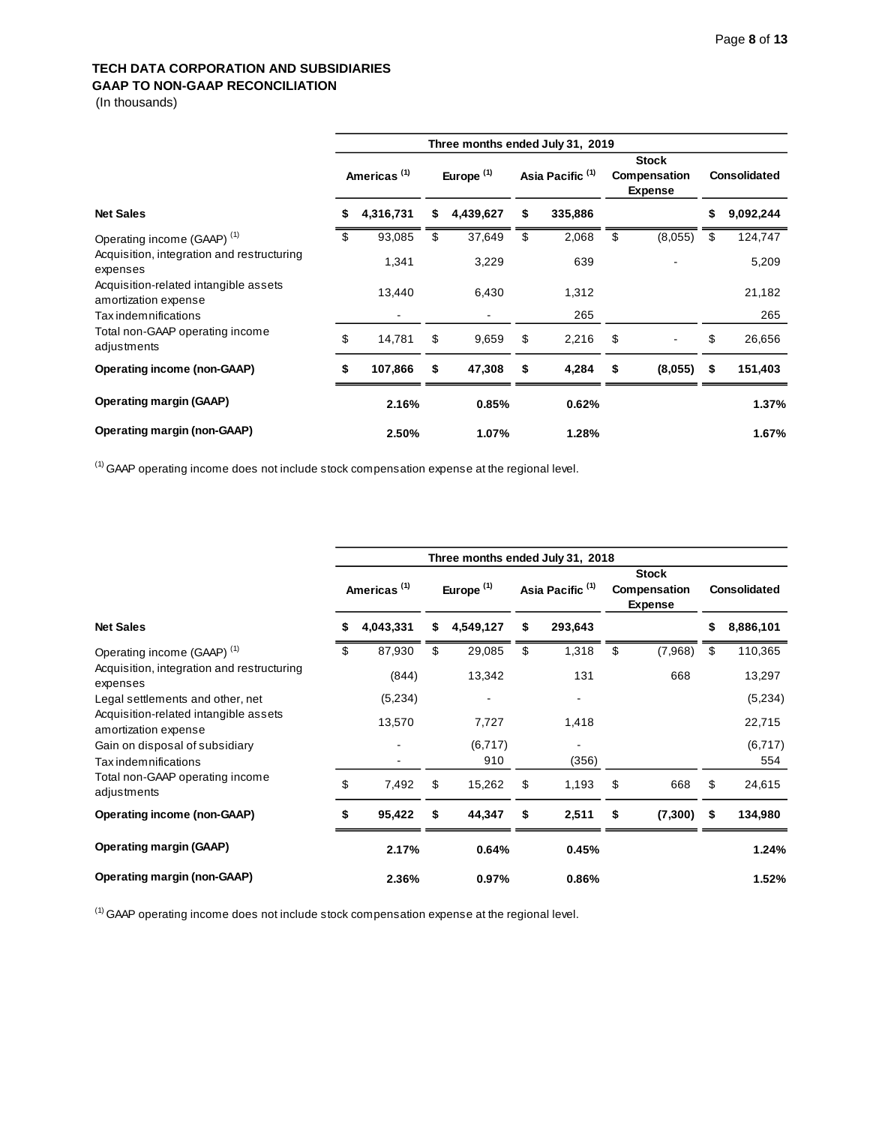#### Page **8** of **13**

#### **TECH DATA CORPORATION AND SUBSIDIARIES GAAP TO NON -GAAP RECONCILIATION**

(In thousands)

|                                                               | Three months ended July 31, 2019 |                         |    |                       |    |                             |                                                |                     |
|---------------------------------------------------------------|----------------------------------|-------------------------|----|-----------------------|----|-----------------------------|------------------------------------------------|---------------------|
|                                                               |                                  | Americas <sup>(1)</sup> |    | Europe <sup>(1)</sup> |    | Asia Pacific <sup>(1)</sup> | <b>Stock</b><br>Compensation<br><b>Expense</b> | <b>Consolidated</b> |
| <b>Net Sales</b>                                              | \$                               | 4,316,731               | \$ | 4,439,627             | \$ | 335,886                     |                                                | \$<br>9,092,244     |
| Operating income (GAAP) <sup>(1)</sup>                        | \$                               | 93,085                  | \$ | 37,649                | \$ | 2,068                       | \$<br>(8,055)                                  | \$<br>124,747       |
| Acquisition, integration and restructuring<br>expenses        |                                  | 1,341                   |    | 3,229                 |    | 639                         |                                                | 5,209               |
| Acquisition-related intangible assets<br>amortization expense |                                  | 13,440                  |    | 6,430                 |    | 1,312                       |                                                | 21,182              |
| Tax indemnifications                                          |                                  |                         |    |                       |    | 265                         |                                                | 265                 |
| Total non-GAAP operating income<br>adjustments                | \$                               | 14,781                  | \$ | 9,659                 | \$ | 2,216                       | \$                                             | \$<br>26,656        |
| <b>Operating income (non-GAAP)</b>                            | \$                               | 107,866                 | \$ | 47,308                | \$ | 4,284                       | \$<br>(8,055)                                  | \$<br>151,403       |
| <b>Operating margin (GAAP)</b>                                |                                  | 2.16%                   |    | 0.85%                 |    | 0.62%                       |                                                | 1.37%               |
| <b>Operating margin (non-GAAP)</b>                            |                                  | 2.50%                   |    | 1.07%                 |    | 1.28%                       |                                                | 1.67%               |

 $<sup>(1)</sup> GAP$  operating income does not include stock compensation expense at the regional level.</sup>

|                                                               | Three months ended July 31, 2018 |                         |    |                       |    |                             |    |                                                |    |                     |
|---------------------------------------------------------------|----------------------------------|-------------------------|----|-----------------------|----|-----------------------------|----|------------------------------------------------|----|---------------------|
|                                                               |                                  | Americas <sup>(1)</sup> |    | Europe <sup>(1)</sup> |    | Asia Pacific <sup>(1)</sup> |    | <b>Stock</b><br>Compensation<br><b>Expense</b> |    | <b>Consolidated</b> |
| <b>Net Sales</b>                                              | S                                | 4,043,331               | S. | 4,549,127             | \$ | 293,643                     |    |                                                | \$ | 8,886,101           |
| Operating income (GAAP) <sup>(1)</sup>                        |                                  | 87,930                  | \$ | 29,085                | \$ | 1,318                       | \$ | (7,968)                                        | \$ | 110,365             |
| Acquisition, integration and restructuring<br>expenses        |                                  | (844)                   |    | 13,342                |    | 131                         |    | 668                                            |    | 13,297              |
| Legal settlements and other, net                              |                                  | (5,234)                 |    |                       |    |                             |    |                                                |    | (5,234)             |
| Acquisition-related intangible assets<br>amortization expense |                                  | 13,570                  |    | 7,727                 |    | 1,418                       |    |                                                |    | 22,715              |
| Gain on disposal of subsidiary                                |                                  |                         |    | (6,717)               |    | ۰                           |    |                                                |    | (6,717)             |
| Tax indemnifications                                          |                                  |                         |    | 910                   |    | (356)                       |    |                                                |    | 554                 |
| Total non-GAAP operating income<br>adjustments                | \$                               | 7,492                   | \$ | 15,262                | \$ | 1,193                       | \$ | 668                                            | \$ | 24,615              |
| <b>Operating income (non-GAAP)</b>                            |                                  | 95,422                  | \$ | 44,347                | \$ | 2,511                       | \$ | (7,300)                                        | \$ | 134,980             |
| <b>Operating margin (GAAP)</b>                                |                                  | 2.17%                   |    | 0.64%                 |    | 0.45%                       |    |                                                |    | 1.24%               |
| <b>Operating margin (non-GAAP)</b>                            |                                  | 2.36%                   |    | 0.97%                 |    | 0.86%                       |    |                                                |    | 1.52%               |

 $<sup>(1)</sup> GAP$  operating income does not include stock compensation expense at the regional level.</sup>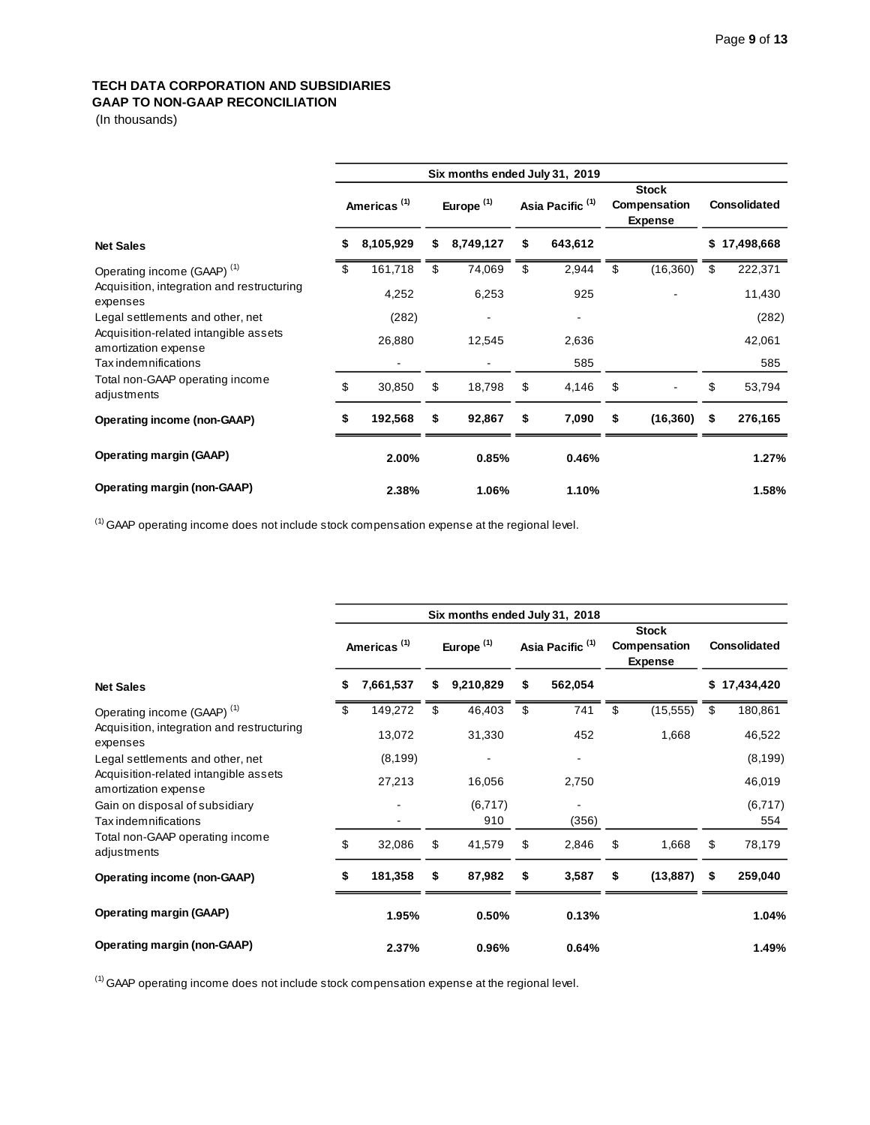(In thousands)

|                                                               |    |                         | Six months ended July 31, 2019 |                             |                                                |                     |
|---------------------------------------------------------------|----|-------------------------|--------------------------------|-----------------------------|------------------------------------------------|---------------------|
|                                                               |    | Americas <sup>(1)</sup> | Europe <sup>(1)</sup>          | Asia Pacific <sup>(1)</sup> | <b>Stock</b><br>Compensation<br><b>Expense</b> | <b>Consolidated</b> |
| <b>Net Sales</b>                                              | \$ | 8,105,929               | \$<br>8,749,127                | \$<br>643,612               |                                                | \$<br>17,498,668    |
| Operating income (GAAP) <sup>(1)</sup>                        | S  | 161,718                 | \$<br>74,069                   | \$<br>2,944                 | \$<br>(16, 360)                                | \$<br>222,371       |
| Acquisition, integration and restructuring<br>expenses        |    | 4,252                   | 6,253                          | 925                         |                                                | 11,430              |
| Legal settlements and other, net                              |    | (282)                   |                                |                             |                                                | (282)               |
| Acquisition-related intangible assets<br>amortization expense |    | 26,880                  | 12,545                         | 2,636                       |                                                | 42,061              |
| Tax indemnifications                                          |    |                         |                                | 585                         |                                                | 585                 |
| Total non-GAAP operating income<br>adjustments                | \$ | 30,850                  | \$<br>18,798                   | \$<br>4,146                 | \$                                             | \$<br>53,794        |
| <b>Operating income (non-GAAP)</b>                            | S  | 192,568                 | \$<br>92,867                   | \$<br>7,090                 | \$<br>(16, 360)                                | \$<br>276,165       |
| <b>Operating margin (GAAP)</b>                                |    | 2.00%                   | 0.85%                          | 0.46%                       |                                                | 1.27%               |
| <b>Operating margin (non-GAAP)</b>                            |    | 2.38%                   | 1.06%                          | 1.10%                       |                                                | 1.58%               |

 $<sup>(1)</sup> GAP$  operating income does not include stock compensation expense at the regional level.</sup>

|                                                               | Six months ended July 31, 2018 |                         |     |              |    |                             |                                                |                     |
|---------------------------------------------------------------|--------------------------------|-------------------------|-----|--------------|----|-----------------------------|------------------------------------------------|---------------------|
|                                                               |                                | Americas <sup>(1)</sup> |     | Europe $(1)$ |    | Asia Pacific <sup>(1)</sup> | <b>Stock</b><br>Compensation<br><b>Expense</b> | <b>Consolidated</b> |
| <b>Net Sales</b>                                              | \$                             | 7,661,537               | \$  | 9,210,829    | \$ | 562,054                     |                                                | \$<br>17,434,420    |
| Operating income (GAAP) <sup>(1)</sup>                        | \$                             | 149,272                 | \$. | 46,403       | \$ | 741                         | \$<br>(15, 555)                                | \$<br>180,861       |
| Acquisition, integration and restructuring<br>expenses        |                                | 13,072                  |     | 31,330       |    | 452                         | 1,668                                          | 46,522              |
| Legal settlements and other, net                              |                                | (8, 199)                |     |              |    | $\blacksquare$              |                                                | (8, 199)            |
| Acquisition-related intangible assets<br>amortization expense |                                | 27,213                  |     | 16,056       |    | 2,750                       |                                                | 46,019              |
| Gain on disposal of subsidiary                                |                                |                         |     | (6,717)      |    | $\blacksquare$              |                                                | (6,717)             |
| Tax indemnifications                                          |                                |                         |     | 910          |    | (356)                       |                                                | 554                 |
| Total non-GAAP operating income<br>adjustments                | \$                             | 32,086                  | \$  | 41,579       | \$ | 2,846                       | \$<br>1,668                                    | \$<br>78,179        |
| <b>Operating income (non-GAAP)</b>                            | \$                             | 181,358                 | S   | 87,982       | \$ | 3,587                       | \$<br>(13, 887)                                | \$<br>259,040       |
| <b>Operating margin (GAAP)</b>                                |                                | 1.95%                   |     | 0.50%        |    | 0.13%                       |                                                | 1.04%               |
| <b>Operating margin (non-GAAP)</b>                            |                                | 2.37%                   |     | 0.96%        |    | 0.64%                       |                                                | 1.49%               |

 $(1)$  GAAP operating income does not include stock compensation expense at the regional level.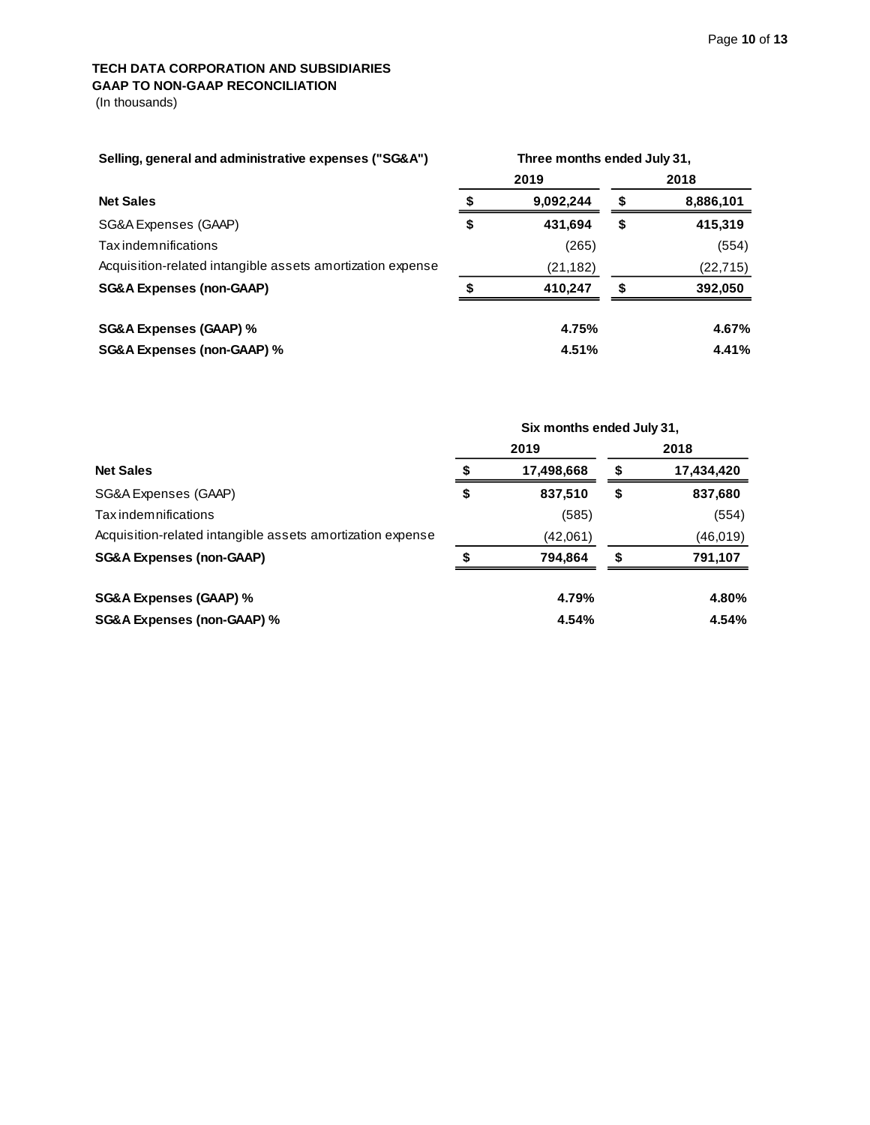## **TECH DATA CORPORATION AND SUBSIDIARIES**

**GAAP TO NON -GAAP RECONCILIATION** 

(In thousands)

| Selling, general and administrative expenses ("SG&A")      | Three months ended July 31, |           |       |           |  |  |  |  |
|------------------------------------------------------------|-----------------------------|-----------|-------|-----------|--|--|--|--|
|                                                            |                             | 2019      | 2018  |           |  |  |  |  |
| <b>Net Sales</b>                                           |                             | 9,092,244 | S     | 8,886,101 |  |  |  |  |
| SG&A Expenses (GAAP)                                       | \$                          | 431,694   | \$    | 415,319   |  |  |  |  |
| <b>Tax indemnifications</b>                                |                             | (265)     |       | (554)     |  |  |  |  |
| Acquisition-related intangible assets amortization expense |                             | (21, 182) |       | (22, 715) |  |  |  |  |
| <b>SG&amp;A Expenses (non-GAAP)</b>                        |                             | 410.247   | S     | 392,050   |  |  |  |  |
| <b>SG&amp;A Expenses (GAAP) %</b>                          |                             | 4.75%     |       | 4.67%     |  |  |  |  |
| SG&A Expenses (non-GAAP) %                                 |                             | 4.51%     | 4.41% |           |  |  |  |  |

|                                                            | Six months ended July 31, |            |    |            |  |  |  |  |
|------------------------------------------------------------|---------------------------|------------|----|------------|--|--|--|--|
|                                                            |                           | 2019       |    | 2018       |  |  |  |  |
| <b>Net Sales</b>                                           |                           | 17,498,668 | \$ | 17,434,420 |  |  |  |  |
| SG&A Expenses (GAAP)                                       | \$                        | 837,510    | \$ | 837,680    |  |  |  |  |
| Tax indemnifications                                       |                           | (585)      |    | (554)      |  |  |  |  |
| Acquisition-related intangible assets amortization expense |                           | (42,061)   |    | (46, 019)  |  |  |  |  |
| <b>SG&amp;A Expenses (non-GAAP)</b>                        |                           | 794.864    | S  | 791,107    |  |  |  |  |
| <b>SG&amp;A Expenses (GAAP) %</b>                          |                           | 4.79%      |    | 4.80%      |  |  |  |  |
| <b>SG&amp;A Expenses (non-GAAP) %</b>                      |                           | 4.54%      |    | 4.54%      |  |  |  |  |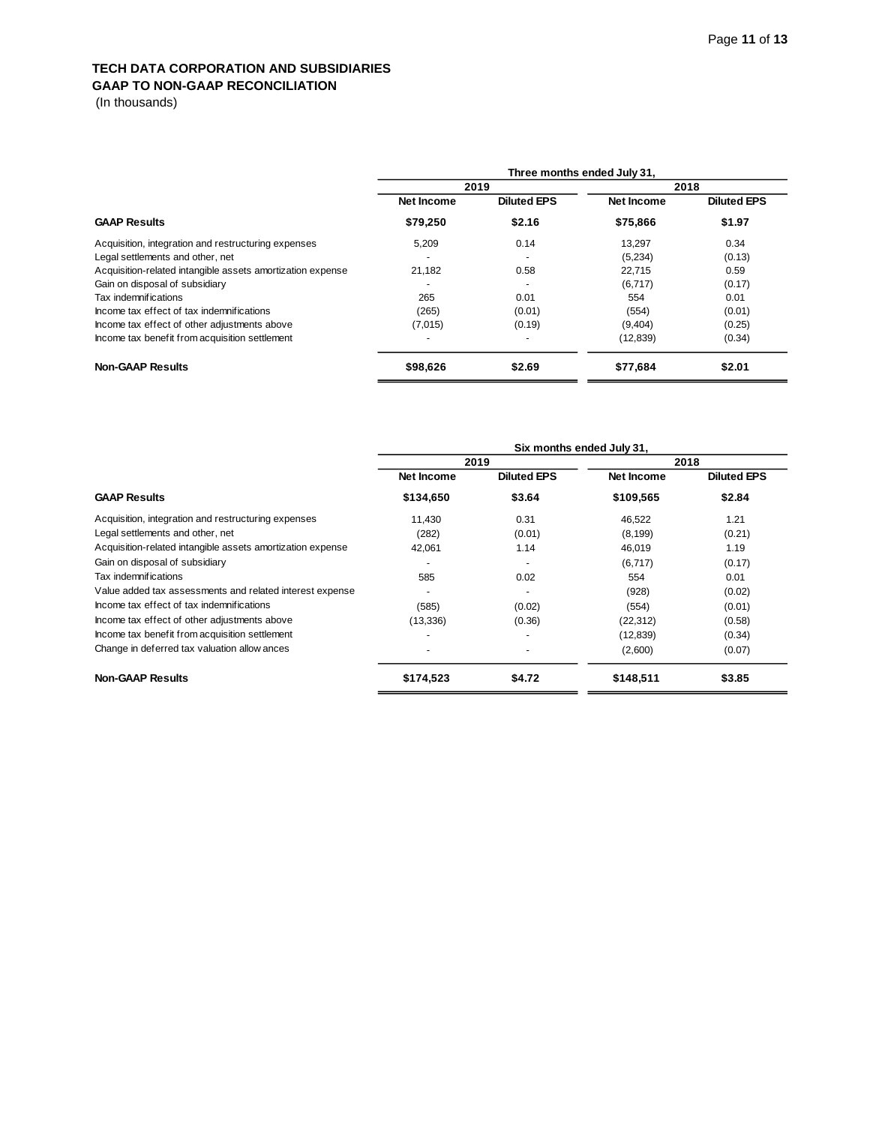(In thousands)

|                                                            |                          | Three months ended July 31, |            |                    |
|------------------------------------------------------------|--------------------------|-----------------------------|------------|--------------------|
|                                                            |                          | 2019                        |            | 2018               |
|                                                            | Net Income               | <b>Diluted EPS</b>          | Net Income | <b>Diluted EPS</b> |
| <b>GAAP Results</b>                                        | \$79,250                 | \$2.16                      | \$75,866   | \$1.97             |
| Acquisition, integration and restructuring expenses        | 5.209                    | 0.14                        | 13.297     | 0.34               |
| Legal settlements and other, net                           | $\overline{\phantom{a}}$ |                             | (5,234)    | (0.13)             |
| Acquisition-related intangible assets amortization expense | 21,182                   | 0.58                        | 22.715     | 0.59               |
| Gain on disposal of subsidiary                             |                          |                             | (6,717)    | (0.17)             |
| Tax indemnifications                                       | 265                      | 0.01                        | 554        | 0.01               |
| Income tax effect of tax indemnifications                  | (265)                    | (0.01)                      | (554)      | (0.01)             |
| Income tax effect of other adjustments above               | (7,015)                  | (0.19)                      | (9,404)    | (0.25)             |
| Income tax benefit from acquisition settlement             |                          |                             | (12, 839)  | (0.34)             |
| <b>Non-GAAP Results</b>                                    | \$98,626                 | \$2.69                      | \$77,684   | \$2.01             |

|                                                            | Six months ended July 31. |                    |                   |                    |  |
|------------------------------------------------------------|---------------------------|--------------------|-------------------|--------------------|--|
|                                                            | 2019                      |                    |                   | 2018               |  |
|                                                            | Net Income                | <b>Diluted EPS</b> | <b>Net Income</b> | <b>Diluted EPS</b> |  |
| <b>GAAP Results</b>                                        | \$134,650                 | \$3.64             | \$109,565         | \$2.84             |  |
| Acquisition, integration and restructuring expenses        | 11.430                    | 0.31               | 46,522            | 1.21               |  |
| Legal settlements and other, net                           | (282)                     | (0.01)             | (8, 199)          | (0.21)             |  |
| Acquisition-related intangible assets amortization expense | 42,061                    | 1.14               | 46,019            | 1.19               |  |
| Gain on disposal of subsidiary                             |                           |                    | (6,717)           | (0.17)             |  |
| Tax indemnifications                                       | 585                       | 0.02               | 554               | 0.01               |  |
| Value added tax assessments and related interest expense   |                           |                    | (928)             | (0.02)             |  |
| Income tax effect of tax indemnifications                  | (585)                     | (0.02)             | (554)             | (0.01)             |  |
| Income tax effect of other adjustments above               | (13, 336)                 | (0.36)             | (22,312)          | (0.58)             |  |
| Income tax benefit from acquisition settlement             |                           |                    | (12, 839)         | (0.34)             |  |
| Change in deferred tax valuation allow ances               |                           |                    | (2,600)           | (0.07)             |  |
| <b>Non-GAAP Results</b>                                    | \$174,523                 | \$4.72             | \$148,511         | \$3.85             |  |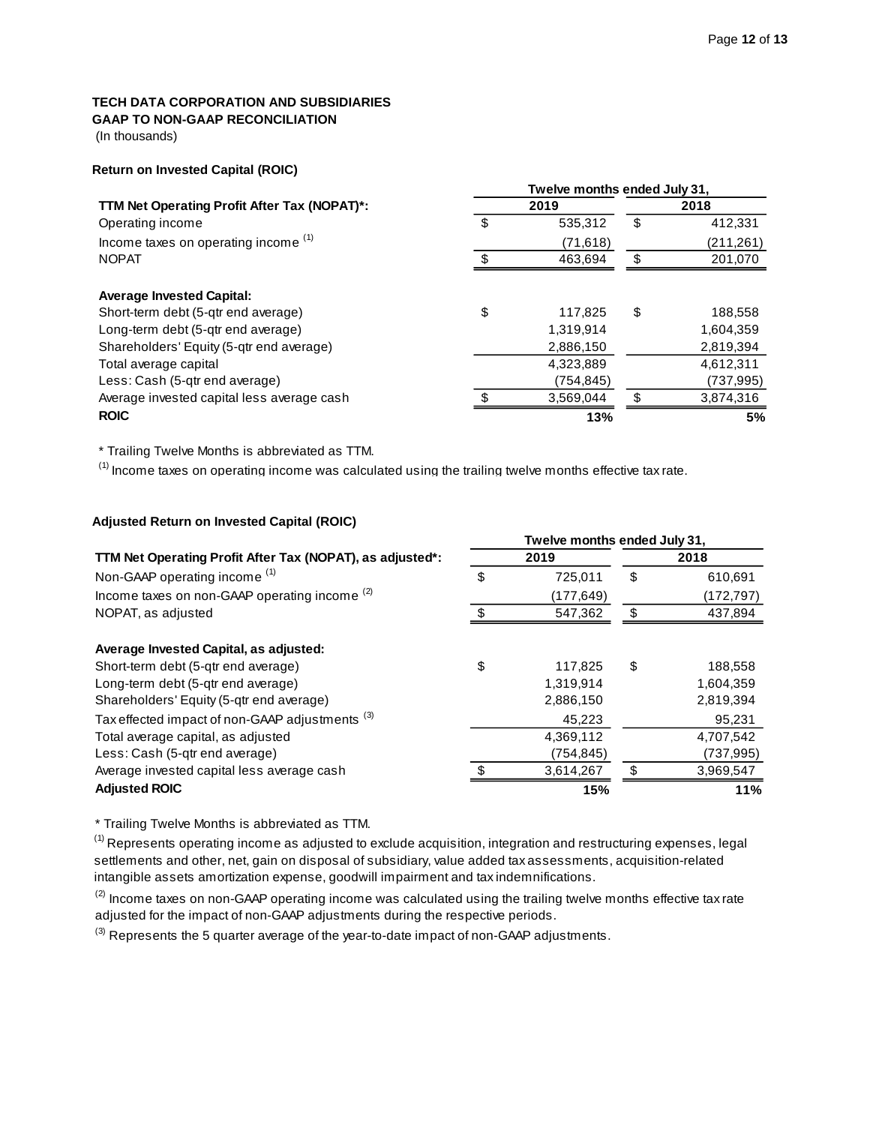(In thousands)

#### **Return on Invested Capital (ROIC)**

|                                              | Twelve months ended July 31, |            |      |            |
|----------------------------------------------|------------------------------|------------|------|------------|
| TTM Net Operating Profit After Tax (NOPAT)*: | 2019                         |            | 2018 |            |
| Operating income                             |                              | 535,312    | \$   | 412,331    |
| Income taxes on operating income (1)         |                              | (71, 618)  |      | (211, 261) |
| <b>NOPAT</b>                                 |                              | 463,694    | \$   | 201,070    |
| <b>Average Invested Capital:</b>             |                              |            |      |            |
| Short-term debt (5-qtr end average)          | \$                           | 117.825    | \$   | 188,558    |
| Long-term debt (5-qtr end average)           |                              | 1.319.914  |      | 1,604,359  |
| Shareholders' Equity (5-qtr end average)     |                              | 2,886,150  |      | 2,819,394  |
| Total average capital                        |                              | 4,323,889  |      | 4,612,311  |
| Less: Cash (5-qtr end average)               |                              | (754, 845) |      | (737, 995) |
| Average invested capital less average cash   |                              | 3,569,044  | \$   | 3,874,316  |
| <b>ROIC</b>                                  |                              | 13%        |      | 5%         |

\* Trailing Twelve Months is abbreviated as TTM.

 $<sup>(1)</sup>$  Income taxes on operating income was calculated using the trailing twelve months effective tax rate.</sup>

#### **Adjusted Return on Invested Capital (ROIC)**

|                                                            | Twelve months ended July 31, |            |     |            |  |
|------------------------------------------------------------|------------------------------|------------|-----|------------|--|
| TTM Net Operating Profit After Tax (NOPAT), as adjusted*:  |                              | 2019       |     | 2018       |  |
| Non-GAAP operating income <sup>(1)</sup>                   | \$                           | 725,011    | \$  | 610,691    |  |
| Income taxes on non-GAAP operating income (2)              |                              | (177,649)  |     | (172, 797) |  |
| NOPAT, as adjusted                                         |                              | 547,362    | \$  | 437,894    |  |
| Average Invested Capital, as adjusted:                     |                              |            |     |            |  |
| Short-term debt (5-qtr end average)                        | \$                           | 117.825    | \$  | 188,558    |  |
| Long-term debt (5-qtr end average)                         |                              | 1.319.914  |     | 1,604,359  |  |
| Shareholders' Equity (5-qtr end average)                   |                              | 2,886,150  |     | 2,819,394  |  |
| Tax effected impact of non-GAAP adjustments <sup>(3)</sup> |                              | 45,223     |     | 95,231     |  |
| Total average capital, as adjusted                         |                              | 4,369,112  |     | 4,707,542  |  |
| Less: Cash (5-qtr end average)                             |                              | (754, 845) |     | (737, 995) |  |
| Average invested capital less average cash                 |                              | 3,614,267  | \$. | 3,969,547  |  |
| <b>Adjusted ROIC</b>                                       |                              | 15%        |     | 11%        |  |

\* Trailing Twelve Months is abbreviated as TTM.

 $<sup>(1)</sup>$  Represents operating income as adjusted to exclude acquisition, integration and restructuring expenses, legal</sup> settlements and other, net, gain on disposal of subsidiary, value added tax assessments, acquisition-related intangible assets amortization expense, goodwill impairment and tax indemnifications.

 $(2)$  Income taxes on non-GAAP operating income was calculated using the trailing twelve months effective tax rate adjusted for the impact of non-GAAP adjustments during the respective periods.

 $^{(3)}$  Represents the 5 quarter average of the year-to-date impact of non-GAAP adjustments.